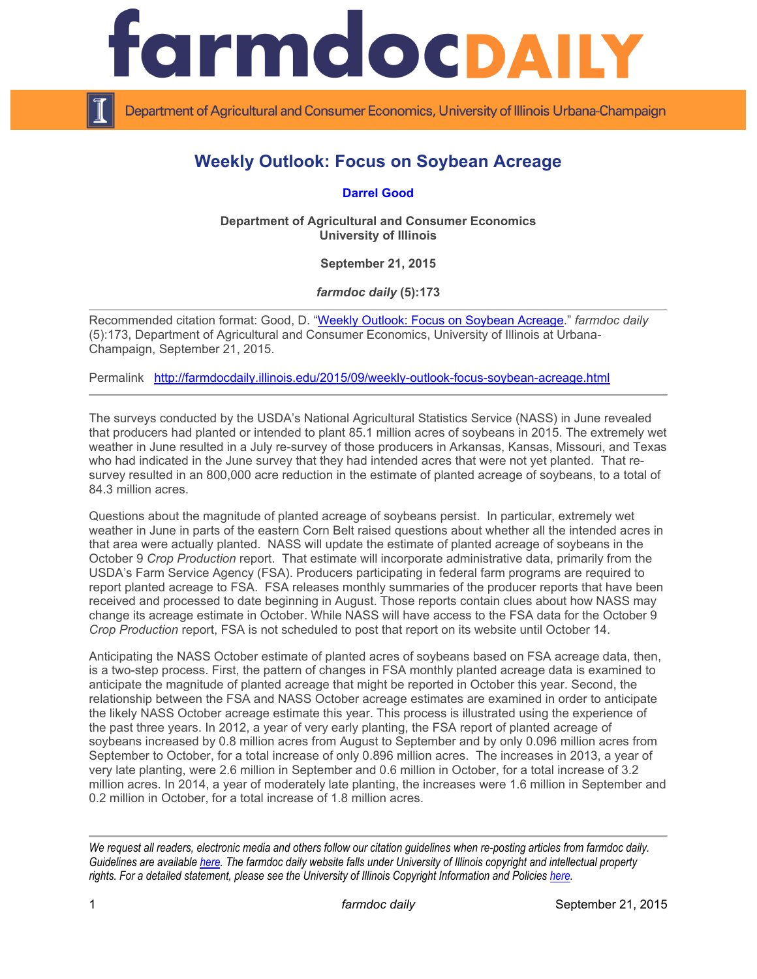

Department of Agricultural and Consumer Economics, University of Illinois Urbana-Champaign

## **Weekly Outlook: Focus on Soybean Acreage**

**[Darrel Good](http://farmdoc.illinois.edu/good/)**

**Department of Agricultural and Consumer Economics University of Illinois**

**September 21, 2015**

*farmdoc daily* **(5):173**

Recommended citation format: Good, D. "[Weekly Outlook: Focus on Soybean Acreage.](http://farmdocdaily.illinois.edu/2015/09/weekly-outlook-focus-soybean-acreage.html)" *farmdoc daily*  (5):173, Department of Agricultural and Consumer Economics, University of Illinois at Urbana-Champaign, September 21, 2015.

Permalink <http://farmdocdaily.illinois.edu/2015/09/weekly-outlook-focus-soybean-acreage.html>

The surveys conducted by the USDA's National Agricultural Statistics Service (NASS) in June revealed that producers had planted or intended to plant 85.1 million acres of soybeans in 2015. The extremely wet weather in June resulted in a July re-survey of those producers in Arkansas, Kansas, Missouri, and Texas who had indicated in the June survey that they had intended acres that were not yet planted. That resurvey resulted in an 800,000 acre reduction in the estimate of planted acreage of soybeans, to a total of 84.3 million acres.

Questions about the magnitude of planted acreage of soybeans persist. In particular, extremely wet weather in June in parts of the eastern Corn Belt raised questions about whether all the intended acres in that area were actually planted. NASS will update the estimate of planted acreage of soybeans in the October 9 *Crop Production* report. That estimate will incorporate administrative data, primarily from the USDA's Farm Service Agency (FSA). Producers participating in federal farm programs are required to report planted acreage to FSA. FSA releases monthly summaries of the producer reports that have been received and processed to date beginning in August. Those reports contain clues about how NASS may change its acreage estimate in October. While NASS will have access to the FSA data for the October 9 *Crop Production* report, FSA is not scheduled to post that report on its website until October 14.

Anticipating the NASS October estimate of planted acres of soybeans based on FSA acreage data, then, is a two-step process. First, the pattern of changes in FSA monthly planted acreage data is examined to anticipate the magnitude of planted acreage that might be reported in October this year. Second, the relationship between the FSA and NASS October acreage estimates are examined in order to anticipate the likely NASS October acreage estimate this year. This process is illustrated using the experience of the past three years. In 2012, a year of very early planting, the FSA report of planted acreage of soybeans increased by 0.8 million acres from August to September and by only 0.096 million acres from September to October, for a total increase of only 0.896 million acres. The increases in 2013, a year of very late planting, were 2.6 million in September and 0.6 million in October, for a total increase of 3.2 million acres. In 2014, a year of moderately late planting, the increases were 1.6 million in September and 0.2 million in October, for a total increase of 1.8 million acres.

*We request all readers, electronic media and others follow our citation guidelines when re-posting articles from farmdoc daily. Guidelines are available [here.](http://farmdocdaily.illinois.edu/citationguide.html) The farmdoc daily website falls under University of Illinois copyright and intellectual property rights. For a detailed statement, please see the University of Illinois Copyright Information and Policies [here.](http://www.cio.illinois.edu/policies/copyright/)*